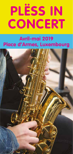# **PLËSS IN PLËSS IN CONCERT CONCERT**

## **Avril-mai 2019 Place d'Armes, Luxembourg**

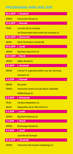### **PROGRAMME AVRIL-MAI 2019**

| 26.4.2019          | Vendredi                                   |
|--------------------|--------------------------------------------|
| 20h00              | <b>Garnecher Musek (L)</b>                 |
| 27.4.2019          | Samedi                                     |
| 11h00              | Journée de la musique                      |
|                    | de l'Association des écoles de musique (L) |
| 28.4.2019          | Dimanche                                   |
| 16 <sub>h00</sub>  | <b>Wind Orchestra Caecilia (B)</b>         |
| 29.4.2019          | Lundi                                      |
| 20h00              | <b>Big Band Spectrum (L)</b>               |
| 30.4.2019          | Mardi                                      |
| 20 <sub>h</sub> 00 | Sëller Musek (L)                           |
| 3.5.2019           | Vendredi                                   |
| 20h00              | Concert 4 Jugendmuséken aus der Gemeng     |
|                    | Suessem (L)                                |
|                    |                                            |
| 4.5.2019           | Samedi                                     |
| 08h00              | <b>Brocante</b>                            |
| 20 <sub>h</sub> 00 | Harmonie Grand-Ducale Marie-Adelaïde       |
|                    | <b>Walferdange (L)</b>                     |
| 5.5.2019           | Dimanche                                   |
| 11h30              | <b>Fanfare Niederkorn (L)</b>              |
| 16h00              | Majorettes de la Ville d'Esch (L)          |
| 6.5.2019           | Lundi                                      |
| 20h00              | <b>Big Band Memory (L)</b>                 |
| 7.5.2019           | Mardi                                      |
| 20h00              | <b>Bartrenger Musek (L)</b>                |
| 9.5.2019           | Jeudi                                      |
|                    | Journée de l'Europe                        |
| 10.5.2019          | Vendredi                                   |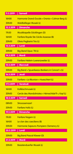| 11.5.2019          | Samedi                                                |
|--------------------|-------------------------------------------------------|
| <b>16h00</b>       | Harmonie Grand-Ducale « Orania » Colmar-Berg (L)      |
| 20 <sub>h</sub> 00 | <u> Waldbëlleger Musek (L)</u>                        |
| 12.5.2019          | <b>Dimanche</b>                                       |
| 11h30              | <b>Musikkapelle Göcklingen (D)</b>                    |
| 16h00              | Fanfare Royale Ste Cécile Assesse (B)                 |
| 20 <sub>h</sub> 00 | Olivio Pagliarini Trio (L)                            |
| 13.5.2019          | Lundi                                                 |
| 20h00              | Big-Band Opus '78 (L)                                 |
| 14.5.2019          | <b>Mardi</b>                                          |
| 20 <sub>h00</sub>  | Fanfare Hielem-Luerenzweiler (L)                      |
| 15.5.2019          | Mercredi                                              |
| 20h00              | <u>Big Band « Spuerkeess-Bankers in Concert » (L)</u> |
| 16.5.2019          | Jeudi                                                 |
| 20h00              | Fanfare « La Réunion » Hueschtert (L)                 |
| 17.5.2019          | Vendredi                                              |
| 16h00              | Kolléischmusek (L)                                    |
| 20 <sub>h</sub> 00 | Cercle des Mandolinistes « Hèmechtsle'ft », Kayl (L)  |
| 18.5.2019          | Samedi                                                |
| 08h00              | Stroossemaart                                         |
| 20 <sub>h</sub> 00 | <b>Fanfare Holtz (L)</b>                              |
| 19.5.2019          | Dimanche                                              |
| 11h30              | <b>Fanfare Nagem (L)</b>                              |
| 16h00              | Le clan des caeciliens (B)                            |
| 20h00              | Harmonie Sapeurs-Pompiers Clemency (L)                |
| 20.5.2019          | Lundi                                                 |
| 20h00              | <b>Big Band Pascal Klewer (D)</b>                     |
| 21.5.2019          | Mardi                                                 |
| 20h00              | <b>Baastenduerfer Musek (L)</b>                       |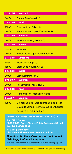| 22.5.2019                                                            | <b>Mercredi</b>                                                                     |  |
|----------------------------------------------------------------------|-------------------------------------------------------------------------------------|--|
| 20h00                                                                | Simmer Duerfmusek (L)                                                               |  |
| 23.5.2019                                                            | Jeudi                                                                               |  |
| 15h00                                                                | <b>Frysk Senioren Orkest (NL)</b>                                                   |  |
| 20 <sub>h</sub> 00                                                   | Harmonie Municipale Merl-Belair (L)                                                 |  |
| 24.5.2019                                                            | Vendredi                                                                            |  |
| 20h00                                                                | Musikverein Lyra, Tawern (D)                                                        |  |
| 25.5.2019                                                            | Samedi                                                                              |  |
| 08h00                                                                | <b>Brocante</b>                                                                     |  |
| 20h00                                                                | <u>Societé de musique Weiswampach (L)</u>                                           |  |
| 26.5.2019                                                            | Dimanche                                                                            |  |
| 11h30                                                                | <b>Musek Gemeng Ell (L)</b>                                                         |  |
| 16h00                                                                | <b>Brass Band XHOFFRAIX (B)</b>                                                     |  |
| 28.5.2019                                                            | Mardi                                                                               |  |
| 20 <sub>h</sub> 00                                                   | <b>Eschduerfer Musek (L)</b>                                                        |  |
| 29.5.2019                                                            | Mercredi                                                                            |  |
| 20 <sub>h00</sub>                                                    | <b>Philharmonie Préizerdaul (L)</b>                                                 |  |
| 30.5.2019                                                            | Jeudi                                                                               |  |
| 20 <sub>h</sub> 00                                                   | <u>Harmonie Sint Joseph Sittard (NL)</u>                                            |  |
| 31.5.2019                                                            | Vendredi                                                                            |  |
| 18h00                                                                | Groupes Samba: Brandeleros, Samba o'Leck,                                           |  |
|                                                                      | <u>Uniao do Samba, Piranhas op Jück, Entusiasta, </u>                               |  |
|                                                                      | Bateria Volle Petaj, Badauê                                                         |  |
| <b>ANIMATION MUSICALE WEEKEND PENTECÔTE</b>                          |                                                                                     |  |
|                                                                      | 8.6.2019   Samedi                                                                   |  |
|                                                                      | 11h00-21h30, Place d'Armes, Palais, Croisement Grand<br><b>Rue/Rue des Capucins</b> |  |
|                                                                      | 9.6.2019   Dimanche<br>11h00-18h15, Place d'Armes, Palais, Corniche                 |  |
| Blues Brass Brothers, Ceux qui marchent debout,                      |                                                                                     |  |
| Dixie Boys, Fanfare Olaïtan, Luma                                    |                                                                                     |  |
| Pour plus d'informations, veuillez consulter www.luxembourg-city.com |                                                                                     |  |
|                                                                      |                                                                                     |  |

Sous réserve de modifications/Änderungen vorbehalten/Program subject to changes.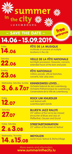

# 14.06 - 15.09.2019 – SAVE THE DATE –



**FÊTE DE LA MUSIQUE** multitude of concerts at multiple locations in the city

22.06 Saturday

23.06 **Sunday** 

**FÊTE NATIONALE** military parade, official festivities, extended hours at the bars and pubs

**VEILLE DE LA FÊTE NATIONALE**  torchlight procession, fireworks, concerts,

entrance

3.,6.& 7.07 Wednesday, Saturday, Sunday

**KINNEKSWISS LOVES…**  Orchestre National de Jazz Luxembourg, Orchestre Philharmonique du Luxembourg, Conservatoire de la Ville de Luxembourg



**ROCK UM KNUEDLER**  rock festival with Luxembourgish bands

**BLUES'N JAZZ RALLYE** 25<sup>th</sup> edition of the not-to-be-missed encounter of Blues and Jazz at Pfaffenthal, Clausen and Grund

concerts, kids' play area

27.07 **Saturday** 





#### **STREETA(RT)NIMATION** 25<sup>th</sup> edition of the street art festival

**MEYOUZIK**  world music festival & MeYouVillage

More events and information: **www.summerinthecity.lu**